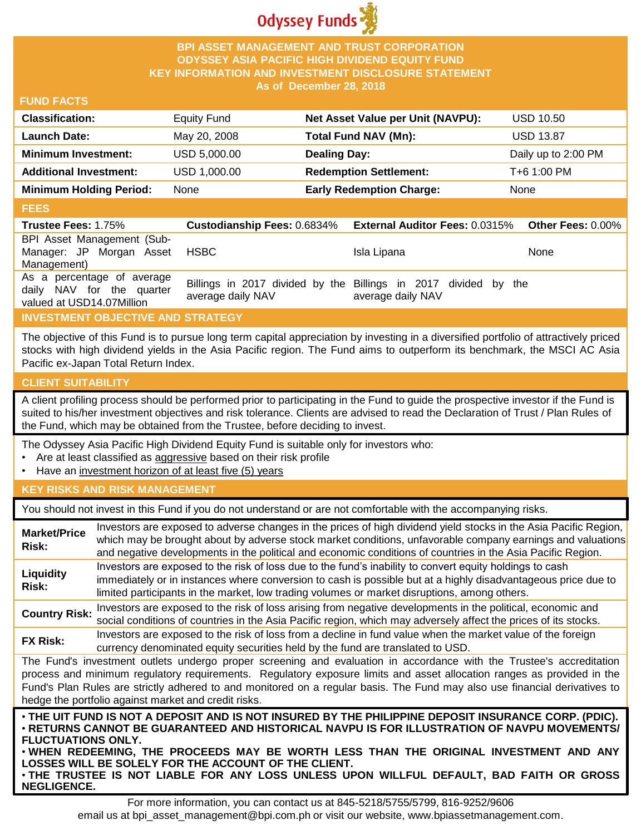

## **BPI ASSET MANAGEMENT AND TRUST CORPORATION ODYSSEY ASIA PACIFIC HIGH DIVIDEND EQUITY FUND KEY INFORMATION AND INVESTMENT DISCLOSURE STATEMENT As of December 28, 2018**

## **FUND FACTS**

| <b>Classification:</b>         | Equity Fund  | Net Asset Value per Unit (NAVPU): | <b>USD 10.50</b>    |
|--------------------------------|--------------|-----------------------------------|---------------------|
| <b>Launch Date:</b>            | May 20, 2008 | <b>Total Fund NAV (Mn):</b>       | <b>USD 13.87</b>    |
| <b>Minimum Investment:</b>     | USD 5,000.00 | <b>Dealing Day:</b>               | Daily up to 2:00 PM |
| <b>Additional Investment:</b>  | USD 1,000.00 | <b>Redemption Settlement:</b>     | T+6 1:00 PM         |
| <b>Minimum Holding Period:</b> | None         | <b>Early Redemption Charge:</b>   | None                |

#### **FEES**

| <b>Trustee Fees: 1.75%</b>                                                           | <b>Custodianship Fees: 0.6834%</b> | <b>External Auditor Fees: 0.0315%</b>                                                | Other Fees: $0.00\%$ |
|--------------------------------------------------------------------------------------|------------------------------------|--------------------------------------------------------------------------------------|----------------------|
| BPI Asset Management (Sub-<br>Manager: JP Morgan Asset<br>Management)                | HSBC                               | Isla Lipana                                                                          | None                 |
| As a percentage of average<br>daily NAV for the quarter<br>valued at USD14.07Million | average daily NAV                  | Billings in 2017 divided by the Billings in 2017 divided by the<br>average daily NAV |                      |

# **INVESTMENT OBJECTIVE AND STRATEGY**

The objective of this Fund is to pursue long term capital appreciation by investing in a diversified portfolio of attractively priced stocks with high dividend yields in the Asia Pacific region. The Fund aims to outperform its benchmark, the MSCI AC Asia Pacific ex-Japan Total Return Index.

# **CLIENT SUITABILITY**

**NEGLIGENCE.**

A client profiling process should be performed prior to participating in the Fund to guide the prospective investor if the Fund is suited to his/her investment objectives and risk tolerance. Clients are advised to read the Declaration of Trust / Plan Rules of the Fund, which may be obtained from the Trustee, before deciding to invest.

The Odyssey Asia Pacific High Dividend Equity Fund is suitable only for investors who:

- Are at least classified as aggressive based on their risk profile
- Have an investment horizon of at least five (5) years

### **KEY RISKS AND RISK MANAGEMENT**

You should not invest in this Fund if you do not understand or are not comfortable with the accompanying risks.

| <b>Market/Price</b><br>Risk:                                                                                                                                                                                                                                                                                                                                                                                                         | Investors are exposed to adverse changes in the prices of high dividend yield stocks in the Asia Pacific Region,<br>which may be brought about by adverse stock market conditions, unfavorable company earnings and valuations<br>and negative developments in the political and economic conditions of countries in the Asia Pacific Region.                                                                                                   |  |  |
|--------------------------------------------------------------------------------------------------------------------------------------------------------------------------------------------------------------------------------------------------------------------------------------------------------------------------------------------------------------------------------------------------------------------------------------|-------------------------------------------------------------------------------------------------------------------------------------------------------------------------------------------------------------------------------------------------------------------------------------------------------------------------------------------------------------------------------------------------------------------------------------------------|--|--|
| Liquidity<br>Risk:                                                                                                                                                                                                                                                                                                                                                                                                                   | Investors are exposed to the risk of loss due to the fund's inability to convert equity holdings to cash<br>immediately or in instances where conversion to cash is possible but at a highly disadvantageous price due to<br>limited participants in the market, low trading volumes or market disruptions, among others.                                                                                                                       |  |  |
| <b>Country Risk:</b>                                                                                                                                                                                                                                                                                                                                                                                                                 | Investors are exposed to the risk of loss arising from negative developments in the political, economic and<br>social conditions of countries in the Asia Pacific region, which may adversely affect the prices of its stocks.                                                                                                                                                                                                                  |  |  |
| <b>FX Risk:</b>                                                                                                                                                                                                                                                                                                                                                                                                                      | Investors are exposed to the risk of loss from a decline in fund value when the market value of the foreign<br>currency denominated equity securities held by the fund are translated to USD.                                                                                                                                                                                                                                                   |  |  |
| The Fund's investment outlets undergo proper screening and evaluation in accordance with the Trustee's accreditation<br>process and minimum regulatory requirements. Regulatory exposure limits and asset allocation ranges as provided in the<br>Fund's Plan Rules are strictly adhered to and monitored on a regular basis. The Fund may also use financial derivatives to<br>hedge the portfolio against market and credit risks. |                                                                                                                                                                                                                                                                                                                                                                                                                                                 |  |  |
| <b>FLUCTUATIONS ONLY.</b>                                                                                                                                                                                                                                                                                                                                                                                                            | . THE UIT FUND IS NOT A DEPOSIT AND IS NOT INSURED BY THE PHILIPPINE DEPOSIT INSURANCE CORP. (PDIC).<br>⋅RETURNS CANNOT BE GUARANTEED AND HISTORICAL NAVPU IS FOR ILLUSTRATION OF NAVPU MOVEMENTS/<br>. WHEN REDEEMING, THE PROCEEDS MAY BE WORTH LESS THAN THE ORIGINAL INVESTMENT AND ANY<br>LOSSES WILL BE SOLELY FOR THE ACCOUNT OF THE CLIENT.<br>. THE TRUSTEE IS NOT LIABLE FOR ANY LOSS UNLESS UPON WILLFUL DEFAULT, BAD FAITH OR GROSS |  |  |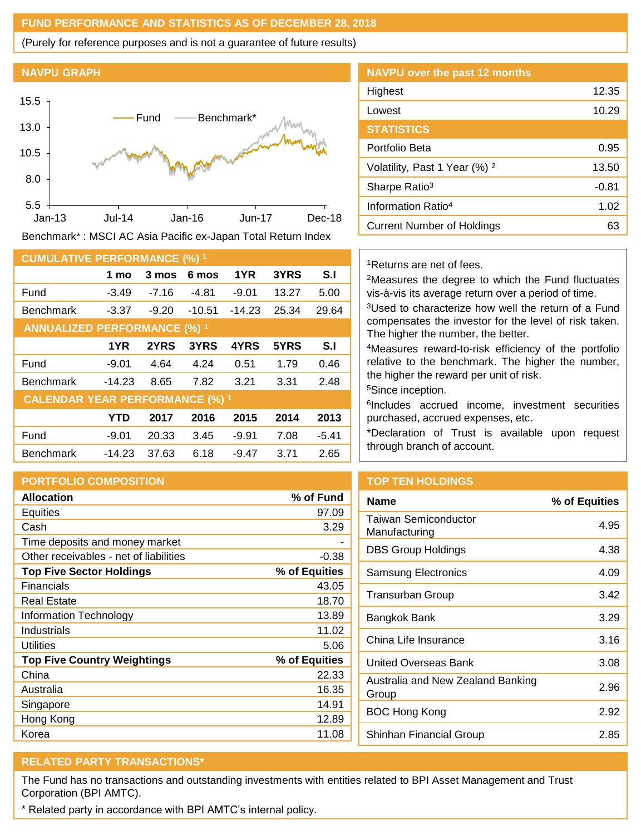## **FUND PERFORMANCE AND STATISTICS AS OF DECEMBER 28, 2018**

(Purely for reference purposes and is not a guarantee of future results)

#### **NAVPU GRAPH**



Benchmark\* : MSCI AC Asia Pacific ex-Japan Total Return Index

| <b>CUMULATIVE PERFORMANCE (%) 1</b>    |          |         |          |          |       |         |
|----------------------------------------|----------|---------|----------|----------|-------|---------|
|                                        | 1 mo     | 3 mos   | 6 mos    | 1YR      | 3YRS  | S.I     |
| Fund                                   | $-3.49$  | $-7.16$ | -4.81    | $-9.01$  | 13.27 | 5.00    |
| <b>Benchmark</b>                       | $-3.37$  | $-9.20$ | $-10.51$ | $-14.23$ | 25.34 | 29.64   |
| <b>ANNUALIZED PERFORMANCE (%) 1</b>    |          |         |          |          |       |         |
|                                        | 1YR      | 2YRS    | 3YRS     | 4YRS     | 5YRS  | S.I     |
| Fund                                   | $-9.01$  | 4.64    | 4.24     | 0.51     | 1.79  | 0.46    |
| <b>Benchmark</b>                       | $-14.23$ | 8.65    | 7.82     | 3.21     | 3.31  | 2.48    |
| <b>CALENDAR YEAR PERFORMANCE (%) 1</b> |          |         |          |          |       |         |
|                                        | YTD      | 2017    | 2016     | 2015     | 2014  | 2013    |
| Fund                                   | $-9.01$  | 20.33   | 3.45     | $-9.91$  | 7.08  | $-5.41$ |
| <b>Benchmark</b>                       | $-14.23$ | 37.63   | 6.18     | $-9.47$  | 3.71  | 2.65    |

# **PORTFOLIO COMPOSITION**

| <b>Allocation</b>                      | % of Fund     |
|----------------------------------------|---------------|
| <b>Equities</b>                        | 97.09         |
| Cash                                   | 3.29          |
| Time deposits and money market         |               |
| Other receivables - net of liabilities | -0.38         |
| <b>Top Five Sector Holdings</b>        | % of Equities |
| Financials                             | 43.05         |
| Real Estate                            | 18.70         |
| Information Technology                 | 13.89         |
| Industrials                            | 11.02         |
| Utilities                              | 5.06          |
| <b>Top Five Country Weightings</b>     | % of Equities |
| China                                  | 22.33         |
| Australia                              | 16.35         |
| Singapore                              | 14.91         |
| Hong Kong                              | 12.89         |
| Korea                                  | 11.08         |

| NAVPU over the past 12 months            |         |
|------------------------------------------|---------|
| Highest                                  | 12.35   |
| Lowest                                   | 10.29   |
| <b>STATISTICS</b>                        |         |
| Portfolio Beta                           | 0.95    |
| Volatility, Past 1 Year (%) <sup>2</sup> | 13.50   |
| Sharpe Ratio <sup>3</sup>                | $-0.81$ |
| Information Ratio <sup>4</sup>           | 1.02    |
| Current Number of Holdings               | 63      |

## <sup>1</sup>Returns are net of fees.

<sup>2</sup>Measures the degree to which the Fund fluctuates vis-à-vis its average return over a period of time.

<sup>3</sup>Used to characterize how well the return of a Fund compensates the investor for the level of risk taken. The higher the number, the better.

<sup>4</sup>Measures reward-to-risk efficiency of the portfolio relative to the benchmark. The higher the number, the higher the reward per unit of risk.

<sup>5</sup>Since inception.

6 Includes accrued income, investment securities purchased, accrued expenses, etc.

\*Declaration of Trust is available upon request through branch of account.

# **TOP TEN HOLDINGS**

| <b>Name</b>                                  | % of Equities |
|----------------------------------------------|---------------|
| <b>Taiwan Semiconductor</b><br>Manufacturing | 4.95          |
| <b>DBS Group Holdings</b>                    | 4.38          |
| <b>Samsung Electronics</b>                   | 4.09          |
| <b>Transurban Group</b>                      | 3.42          |
| Bangkok Bank                                 | 3.29          |
| China Life Insurance                         | 3.16          |
| United Overseas Bank                         | 3.08          |
| Australia and New Zealand Banking<br>Group   | 2.96          |
| BOC Hong Kong                                | 2.92          |
| Shinhan Financial Group                      | 2.85          |

# **RELATED PARTY TRANSACTIONS\***

The Fund has no transactions and outstanding investments with entities related to BPI Asset Management and Trust Corporation (BPI AMTC).

\* Related party in accordance with BPI AMTC's internal policy.